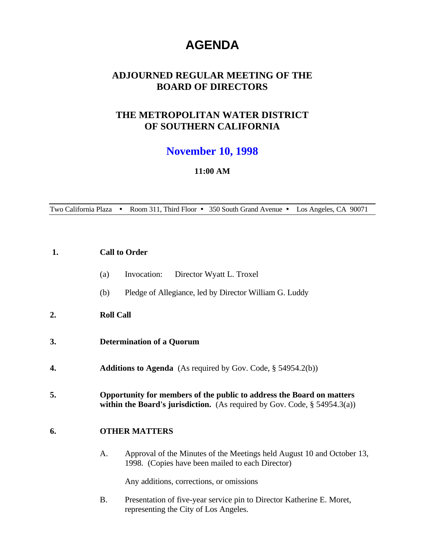# **AGENDA**

# **ADJOURNED REGULAR MEETING OF THE BOARD OF DIRECTORS**

# **THE METROPOLITAN WATER DISTRICT OF SOUTHERN CALIFORNIA**

# **November 10, 1998**

#### **11:00 AM**

Two California Plaza • Room 311, Third Floor • 350 South Grand Avenue • Los Angeles, CA 90071

| 1. | <b>Call to Order</b>                                                                                                                                                                                    |
|----|---------------------------------------------------------------------------------------------------------------------------------------------------------------------------------------------------------|
|    | Invocation:<br>Director Wyatt L. Troxel<br>(a)                                                                                                                                                          |
|    | Pledge of Allegiance, led by Director William G. Luddy<br>(b)                                                                                                                                           |
| 2. | <b>Roll Call</b>                                                                                                                                                                                        |
| 3. | <b>Determination of a Quorum</b>                                                                                                                                                                        |
| 4. | <b>Additions to Agenda</b> (As required by Gov. Code, $\S$ 54954.2(b))                                                                                                                                  |
| 5. | Opportunity for members of the public to address the Board on matters<br>within the Board's jurisdiction. (As required by Gov. Code, $\S$ 54954.3(a))                                                   |
| 6. | <b>OTHER MATTERS</b>                                                                                                                                                                                    |
|    | Approval of the Minutes of the Meetings held August 10 and October 13,<br>A.<br>1998. (Copies have been mailed to each Director)                                                                        |
|    | Any additions, corrections, or omissions                                                                                                                                                                |
|    | $\mathbf{D}_{\text{model}}(t)$ and $\mathbf{f}_{\text{model}}^{(n)}$ are considered in the $\mathbf{D}_{\text{model}}^{(n)}$ of $\mathbf{V}_{\text{model}}^{(n)}$ and $\mathbf{E}_{\text{model}}^{(n)}$ |

B. Presentation of five-year service pin to Director Katherine E. Moret, representing the City of Los Angeles.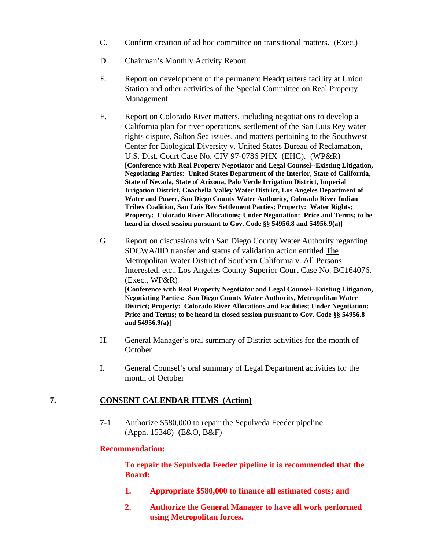- C. Confirm creation of ad hoc committee on transitional matters. (Exec.)
- D. Chairman's Monthly Activity Report
- E. Report on development of the permanent Headquarters facility at Union Station and other activities of the Special Committee on Real Property Management
- F. Report on Colorado River matters, including negotiations to develop a California plan for river operations, settlement of the San Luis Rey water rights dispute, Salton Sea issues, and matters pertaining to the Southwest Center for Biological Diversity v. United States Bureau of Reclamation, U.S. Dist. Court Case No. CIV 97-0786 PHX (EHC). (WP&R) **[Conference with Real Property Negotiator and Legal Counsel--Existing Litigation, Negotiating Parties: United States Department of the Interior, State of California, State of Nevada, State of Arizona, Palo Verde Irrigation District, Imperial Irrigation District, Coachella Valley Water District, Los Angeles Department of Water and Power, San Diego County Water Authority, Colorado River Indian Tribes Coalition, San Luis Rey Settlement Parties; Property: Water Rights; Property: Colorado River Allocations; Under Negotiation: Price and Terms; to be heard in closed session pursuant to Gov. Code §§ 54956.8 and 54956.9(a)]**
- G. Report on discussions with San Diego County Water Authority regarding SDCWA/IID transfer and status of validation action entitled The Metropolitan Water District of Southern California v. All Persons Interested, etc., Los Angeles County Superior Court Case No. BC164076. (Exec., WP&R) **[Conference with Real Property Negotiator and Legal Counsel--Existing Litigation, Negotiating Parties: San Diego County Water Authority, Metropolitan Water District; Property: Colorado River Allocations and Facilities; Under Negotiation: Price and Terms; to be heard in closed session pursuant to Gov. Code §§ 54956.8 and 54956.9(a)]**
- H. General Manager's oral summary of District activities for the month of **October**
- I. General Counsel's oral summary of Legal Department activities for the month of October

#### **7. CONSENT CALENDAR ITEMS (Action)**

7-1 Authorize \$580,000 to repair the Sepulveda Feeder pipeline. (Appn. 15348) (E&O, B&F)

#### **Recommendation:**

**To repair the Sepulveda Feeder pipeline it is recommended that the Board:**

- **1. Appropriate \$580,000 to finance all estimated costs; and**
- **2. Authorize the General Manager to have all work performed using Metropolitan forces.**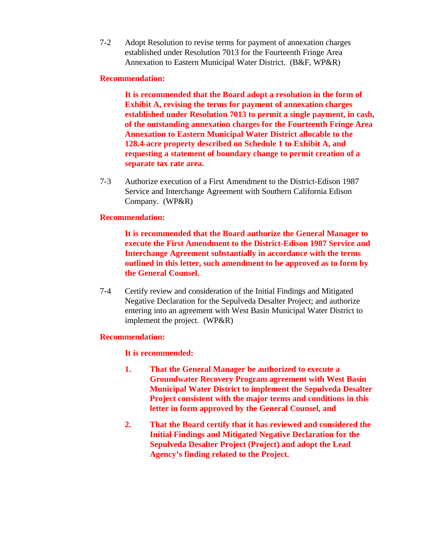7-2 Adopt Resolution to revise terms for payment of annexation charges established under Resolution 7013 for the Fourteenth Fringe Area Annexation to Eastern Municipal Water District. (B&F, WP&R)

### **Recommendation:**

**It is recommended that the Board adopt a resolution in the form of Exhibit A, revising the terms for payment of annexation charges established under Resolution 7013 to permit a single payment, in cash, of the outstanding annexation charges for the Fourteenth Fringe Area Annexation to Eastern Municipal Water District allocable to the 128.4-acre property described on Schedule 1 to Exhibit A, and requesting a statement of boundary change to permit creation of a separate tax rate area.**

7-3 Authorize execution of a First Amendment to the District-Edison 1987 Service and Interchange Agreement with Southern California Edison Company. (WP&R)

#### **Recommendation:**

**It is recommended that the Board authorize the General Manager to execute the First Amendment to the District-Edison 1987 Service and Interchange Agreement substantially in accordance with the terms outlined in this letter, such amendment to be approved as to form by the General Counsel.**

7-4 Certify review and consideration of the Initial Findings and Mitigated Negative Declaration for the Sepulveda Desalter Project; and authorize entering into an agreement with West Basin Municipal Water District to implement the project. (WP&R)

#### **Recommendation:**

**It is recommended:**

- **1. That the General Manager be authorized to execute a Groundwater Recovery Program agreement with West Basin Municipal Water District to implement the Sepulveda Desalter Project consistent with the major terms and conditions in this letter in form approved by the General Counsel, and**
- **2. That the Board certify that it has reviewed and considered the Initial Findings and Mitigated Negative Declaration for the Sepulveda Desalter Project (Project) and adopt the Lead Agency's finding related to the Project.**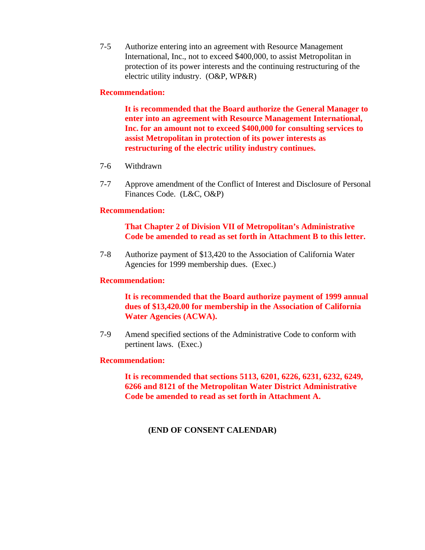7-5 Authorize entering into an agreement with Resource Management International, Inc., not to exceed \$400,000, to assist Metropolitan in protection of its power interests and the continuing restructuring of the electric utility industry. (O&P, WP&R)

#### **Recommendation:**

**It is recommended that the Board authorize the General Manager to enter into an agreement with Resource Management International, Inc. for an amount not to exceed \$400,000 for consulting services to assist Metropolitan in protection of its power interests as restructuring of the electric utility industry continues.**

- 7-6 Withdrawn
- 7-7 Approve amendment of the Conflict of Interest and Disclosure of Personal Finances Code. (L&C, O&P)

#### **Recommendation:**

### **That Chapter 2 of Division VII of Metropolitan's Administrative Code be amended to read as set forth in Attachment B to this letter.**

7-8 Authorize payment of \$13,420 to the Association of California Water Agencies for 1999 membership dues. (Exec.)

## **Recommendation:**

**It is recommended that the Board authorize payment of 1999 annual dues of \$13,420.00 for membership in the Association of California Water Agencies (ACWA).**

7-9 Amend specified sections of the Administrative Code to conform with pertinent laws. (Exec.)

#### **Recommendation:**

**It is recommended that sections 5113, 6201, 6226, 6231, 6232, 6249, 6266 and 8121 of the Metropolitan Water District Administrative Code be amended to read as set forth in Attachment A.**

#### **(END OF CONSENT CALENDAR)**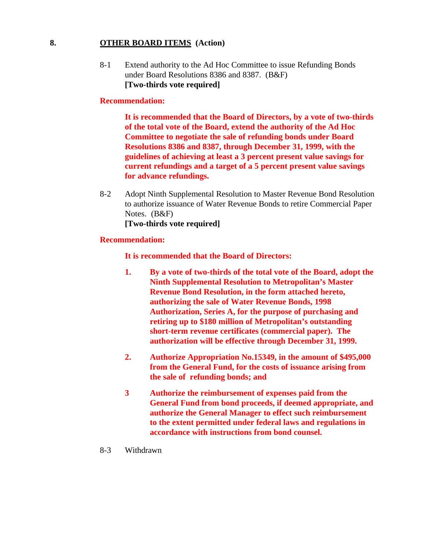#### **8. OTHER BOARD ITEMS (Action)**

8-1 Extend authority to the Ad Hoc Committee to issue Refunding Bonds under Board Resolutions 8386 and 8387. (B&F) **[Two-thirds vote required]**

#### **Recommendation:**

**It is recommended that the Board of Directors, by a vote of two-thirds of the total vote of the Board, extend the authority of the Ad Hoc Committee to negotiate the sale of refunding bonds under Board Resolutions 8386 and 8387, through December 31, 1999, with the guidelines of achieving at least a 3 percent present value savings for current refundings and a target of a 5 percent present value savings for advance refundings.**

8-2 Adopt Ninth Supplemental Resolution to Master Revenue Bond Resolution to authorize issuance of Water Revenue Bonds to retire Commercial Paper Notes. (B&F) **[Two-thirds vote required]**

#### **Recommendation:**

#### **It is recommended that the Board of Directors:**

- **1. By a vote of two-thirds of the total vote of the Board, adopt the Ninth Supplemental Resolution to Metropolitan's Master Revenue Bond Resolution, in the form attached hereto, authorizing the sale of Water Revenue Bonds, 1998 Authorization, Series A, for the purpose of purchasing and retiring up to \$180 million of Metropolitan's outstanding short-term revenue certificates (commercial paper). The authorization will be effective through December 31, 1999.**
- **2. Authorize Appropriation No.15349, in the amount of \$495,000 from the General Fund, for the costs of issuance arising from the sale of refunding bonds; and**
- **3 Authorize the reimbursement of expenses paid from the General Fund from bond proceeds, if deemed appropriate, and authorize the General Manager to effect such reimbursement to the extent permitted under federal laws and regulations in accordance with instructions from bond counsel.**

#### 8-3 Withdrawn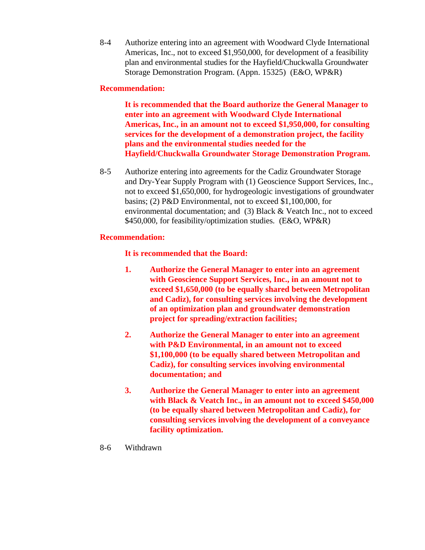8-4 Authorize entering into an agreement with Woodward Clyde International Americas, Inc., not to exceed \$1,950,000, for development of a feasibility plan and environmental studies for the Hayfield/Chuckwalla Groundwater Storage Demonstration Program. (Appn. 15325) (E&O, WP&R)

# **Recommendation:**

**It is recommended that the Board authorize the General Manager to enter into an agreement with Woodward Clyde International Americas, Inc., in an amount not to exceed \$1,950,000, for consulting services for the development of a demonstration project, the facility plans and the environmental studies needed for the Hayfield/Chuckwalla Groundwater Storage Demonstration Program.**

8-5 Authorize entering into agreements for the Cadiz Groundwater Storage and Dry-Year Supply Program with (1) Geoscience Support Services, Inc., not to exceed \$1,650,000, for hydrogeologic investigations of groundwater basins; (2) P&D Environmental, not to exceed \$1,100,000, for environmental documentation; and (3) Black & Veatch Inc., not to exceed \$450,000, for feasibility/optimization studies. (E&O, WP&R)

## **Recommendation:**

**It is recommended that the Board:**

- **1. Authorize the General Manager to enter into an agreement with Geoscience Support Services, Inc., in an amount not to exceed \$1,650,000 (to be equally shared between Metropolitan and Cadiz), for consulting services involving the development of an optimization plan and groundwater demonstration project for spreading/extraction facilities;**
- **2. Authorize the General Manager to enter into an agreement with P&D Environmental, in an amount not to exceed \$1,100,000 (to be equally shared between Metropolitan and Cadiz), for consulting services involving environmental documentation; and**
- **3. Authorize the General Manager to enter into an agreement with Black & Veatch Inc., in an amount not to exceed \$450,000 (to be equally shared between Metropolitan and Cadiz), for consulting services involving the development of a conveyance facility optimization.**

## 8-6 Withdrawn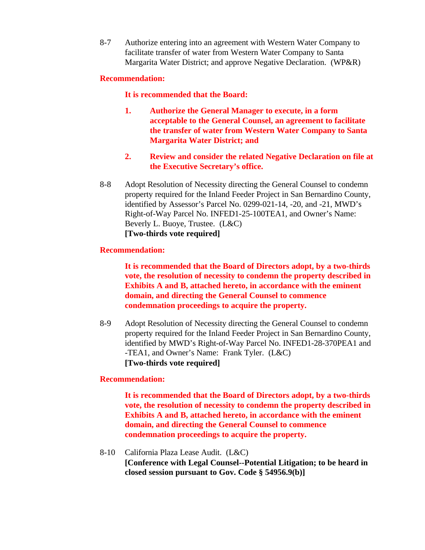8-7 Authorize entering into an agreement with Western Water Company to facilitate transfer of water from Western Water Company to Santa Margarita Water District; and approve Negative Declaration. (WP&R)

### **Recommendation:**

**It is recommended that the Board:**

- **1. Authorize the General Manager to execute, in a form acceptable to the General Counsel, an agreement to facilitate the transfer of water from Western Water Company to Santa Margarita Water District; and**
- **2. Review and consider the related Negative Declaration on file at the Executive Secretary's office.**
- 8-8 Adopt Resolution of Necessity directing the General Counsel to condemn property required for the Inland Feeder Project in San Bernardino County, identified by Assessor's Parcel No. 0299-021-14, -20, and -21, MWD's Right-of-Way Parcel No. INFED1-25-100TEA1, and Owner's Name: Beverly L. Buoye, Trustee. (L&C) **[Two-thirds vote required]**

#### **Recommendation:**

**It is recommended that the Board of Directors adopt, by a two-thirds vote, the resolution of necessity to condemn the property described in Exhibits A and B, attached hereto, in accordance with the eminent domain, and directing the General Counsel to commence condemnation proceedings to acquire the property.**

8-9 Adopt Resolution of Necessity directing the General Counsel to condemn property required for the Inland Feeder Project in San Bernardino County, identified by MWD's Right-of-Way Parcel No. INFED1-28-370PEA1 and -TEA1, and Owner's Name: Frank Tyler. (L&C) **[Two-thirds vote required]**

#### **Recommendation:**

**It is recommended that the Board of Directors adopt, by a two-thirds vote, the resolution of necessity to condemn the property described in Exhibits A and B, attached hereto, in accordance with the eminent domain, and directing the General Counsel to commence condemnation proceedings to acquire the property.**

8-10 California Plaza Lease Audit. (L&C)

**[Conference with Legal Counsel--Potential Litigation; to be heard in closed session pursuant to Gov. Code § 54956.9(b)]**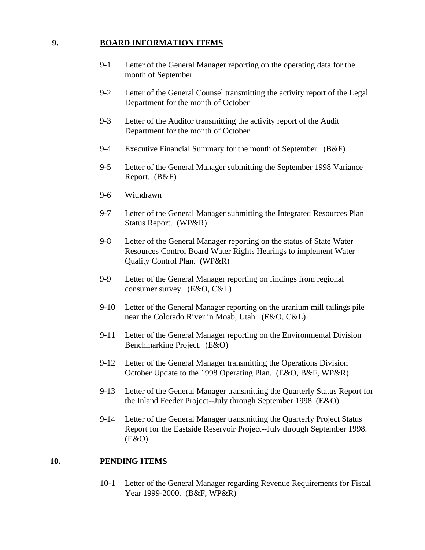## **9. BOARD INFORMATION ITEMS**

- 9-1 Letter of the General Manager reporting on the operating data for the month of September
- 9-2 Letter of the General Counsel transmitting the activity report of the Legal Department for the month of October
- 9-3 Letter of the Auditor transmitting the activity report of the Audit Department for the month of October
- 9-4 Executive Financial Summary for the month of September. (B&F)
- 9-5 Letter of the General Manager submitting the September 1998 Variance Report. (B&F)
- 9-6 Withdrawn
- 9-7 Letter of the General Manager submitting the Integrated Resources Plan Status Report. (WP&R)
- 9-8 Letter of the General Manager reporting on the status of State Water Resources Control Board Water Rights Hearings to implement Water Quality Control Plan. (WP&R)
- 9-9 Letter of the General Manager reporting on findings from regional consumer survey. (E&O, C&L)
- 9-10 Letter of the General Manager reporting on the uranium mill tailings pile near the Colorado River in Moab, Utah. (E&O, C&L)
- 9-11 Letter of the General Manager reporting on the Environmental Division Benchmarking Project. (E&O)
- 9-12 Letter of the General Manager transmitting the Operations Division October Update to the 1998 Operating Plan. (E&O, B&F, WP&R)
- 9-13 Letter of the General Manager transmitting the Quarterly Status Report for the Inland Feeder Project--July through September 1998. (E&O)
- 9-14 Letter of the General Manager transmitting the Quarterly Project Status Report for the Eastside Reservoir Project--July through September 1998.  $(E&O)$

#### **10. PENDING ITEMS**

10-1 Letter of the General Manager regarding Revenue Requirements for Fiscal Year 1999-2000. (B&F, WP&R)